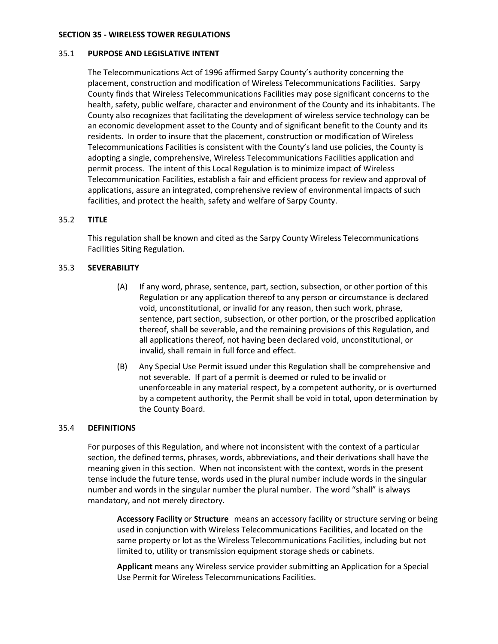## **SECTION 35 - WIRELESS TOWER REGULATIONS**

## 35.1 **PURPOSE AND LEGISLATIVE INTENT**

The Telecommunications Act of 1996 affirmed Sarpy County's authority concerning the placement, construction and modification of Wireless Telecommunications Facilities. Sarpy County finds that Wireless Telecommunications Facilities may pose significant concerns to the health, safety, public welfare, character and environment of the County and its inhabitants. The County also recognizes that facilitating the development of wireless service technology can be an economic development asset to the County and of significant benefit to the County and its residents. In order to insure that the placement, construction or modification of Wireless Telecommunications Facilities is consistent with the County's land use policies, the County is adopting a single, comprehensive, Wireless Telecommunications Facilities application and permit process. The intent of this Local Regulation is to minimize impact of Wireless Telecommunication Facilities, establish a fair and efficient process for review and approval of applications, assure an integrated, comprehensive review of environmental impacts of such facilities, and protect the health, safety and welfare of Sarpy County.

# 35.2 **TITLE**

This regulation shall be known and cited as the Sarpy County Wireless Telecommunications Facilities Siting Regulation.

# 35.3 **SEVERABILITY**

- (A) If any word, phrase, sentence, part, section, subsection, or other portion of this Regulation or any application thereof to any person or circumstance is declared void, unconstitutional, or invalid for any reason, then such work, phrase, sentence, part section, subsection, or other portion, or the proscribed application thereof, shall be severable, and the remaining provisions of this Regulation, and all applications thereof, not having been declared void, unconstitutional, or invalid, shall remain in full force and effect.
- (B) Any Special Use Permit issued under this Regulation shall be comprehensive and not severable. If part of a permit is deemed or ruled to be invalid or unenforceable in any material respect, by a competent authority, or is overturned by a competent authority, the Permit shall be void in total, upon determination by the County Board.

# 35.4 **DEFINITIONS**

For purposes of this Regulation, and where not inconsistent with the context of a particular section, the defined terms, phrases, words, abbreviations, and their derivations shall have the meaning given in this section. When not inconsistent with the context, words in the present tense include the future tense, words used in the plural number include words in the singular number and words in the singular number the plural number. The word "shall" is always mandatory, and not merely directory.

**Accessory Facility** or **Structure** means an accessory facility or structure serving or being used in conjunction with Wireless Telecommunications Facilities, and located on the same property or lot as the Wireless Telecommunications Facilities, including but not limited to, utility or transmission equipment storage sheds or cabinets.

**Applicant** means any Wireless service provider submitting an Application for a Special Use Permit for Wireless Telecommunications Facilities.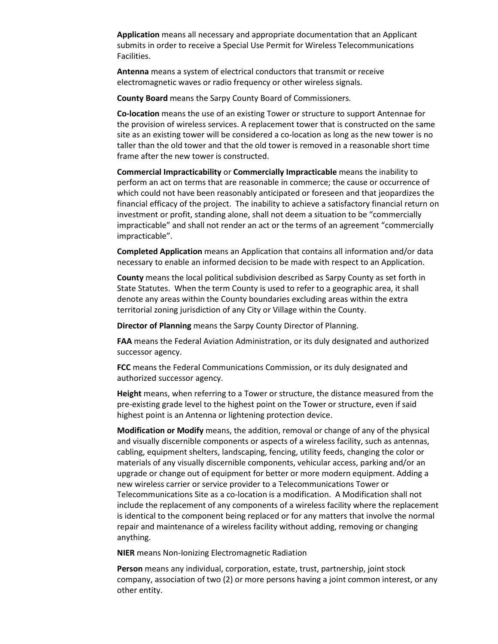**Application** means all necessary and appropriate documentation that an Applicant submits in order to receive a Special Use Permit for Wireless Telecommunications Facilities.

**Antenna** means a system of electrical conductors that transmit or receive electromagnetic waves or radio frequency or other wireless signals.

**County Board** means the Sarpy County Board of Commissioners.

**Co-location** means the use of an existing Tower or structure to support Antennae for the provision of wireless services. A replacement tower that is constructed on the same site as an existing tower will be considered a co-location as long as the new tower is no taller than the old tower and that the old tower is removed in a reasonable short time frame after the new tower is constructed.

**Commercial Impracticability** or **Commercially Impracticable** means the inability to perform an act on terms that are reasonable in commerce; the cause or occurrence of which could not have been reasonably anticipated or foreseen and that jeopardizes the financial efficacy of the project. The inability to achieve a satisfactory financial return on investment or profit, standing alone, shall not deem a situation to be "commercially impracticable" and shall not render an act or the terms of an agreement "commercially impracticable".

**Completed Application** means an Application that contains all information and/or data necessary to enable an informed decision to be made with respect to an Application.

**County** means the local political subdivision described as Sarpy County as set forth in State Statutes. When the term County is used to refer to a geographic area, it shall denote any areas within the County boundaries excluding areas within the extra territorial zoning jurisdiction of any City or Village within the County.

**Director of Planning** means the Sarpy County Director of Planning.

**FAA** means the Federal Aviation Administration, or its duly designated and authorized successor agency.

**FCC** means the Federal Communications Commission, or its duly designated and authorized successor agency.

**Height** means, when referring to a Tower or structure, the distance measured from the pre-existing grade level to the highest point on the Tower or structure, even if said highest point is an Antenna or lightening protection device.

**Modification or Modify** means, the addition, removal or change of any of the physical and visually discernible components or aspects of a wireless facility, such as antennas, cabling, equipment shelters, landscaping, fencing, utility feeds, changing the color or materials of any visually discernible components, vehicular access, parking and/or an upgrade or change out of equipment for better or more modern equipment. Adding a new wireless carrier or service provider to a Telecommunications Tower or Telecommunications Site as a co-location is a modification. A Modification shall not include the replacement of any components of a wireless facility where the replacement is identical to the component being replaced or for any matters that involve the normal repair and maintenance of a wireless facility without adding, removing or changing anything.

**NIER** means Non-Ionizing Electromagnetic Radiation

**Person** means any individual, corporation, estate, trust, partnership, joint stock company, association of two (2) or more persons having a joint common interest, or any other entity.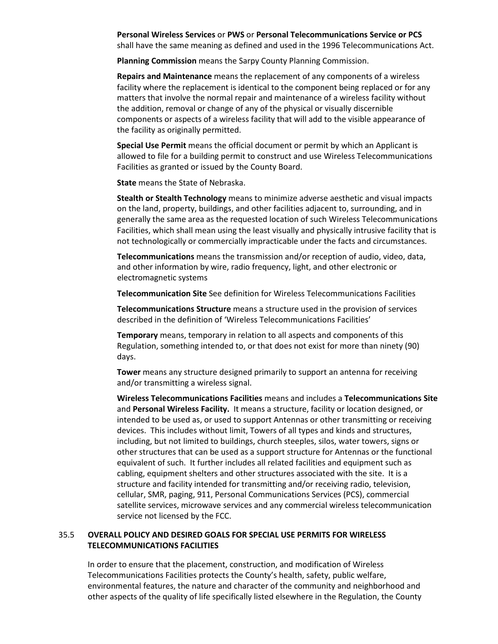**Personal Wireless Services** or **PWS** or **Personal Telecommunications Service or PCS**  shall have the same meaning as defined and used in the 1996 Telecommunications Act.

**Planning Commission** means the Sarpy County Planning Commission.

**Repairs and Maintenance** means the replacement of any components of a wireless facility where the replacement is identical to the component being replaced or for any matters that involve the normal repair and maintenance of a wireless facility without the addition, removal or change of any of the physical or visually discernible components or aspects of a wireless facility that will add to the visible appearance of the facility as originally permitted.

**Special Use Permit** means the official document or permit by which an Applicant is allowed to file for a building permit to construct and use Wireless Telecommunications Facilities as granted or issued by the County Board.

**State** means the State of Nebraska.

**Stealth or Stealth Technology** means to minimize adverse aesthetic and visual impacts on the land, property, buildings, and other facilities adjacent to, surrounding, and in generally the same area as the requested location of such Wireless Telecommunications Facilities, which shall mean using the least visually and physically intrusive facility that is not technologically or commercially impracticable under the facts and circumstances.

**Telecommunications** means the transmission and/or reception of audio, video, data, and other information by wire, radio frequency, light, and other electronic or electromagnetic systems

**Telecommunication Site** See definition for Wireless Telecommunications Facilities

**Telecommunications Structure** means a structure used in the provision of services described in the definition of 'Wireless Telecommunications Facilities'

**Temporary** means, temporary in relation to all aspects and components of this Regulation, something intended to, or that does not exist for more than ninety (90) days.

**Tower** means any structure designed primarily to support an antenna for receiving and/or transmitting a wireless signal.

**Wireless Telecommunications Facilities** means and includes a **Telecommunications Site** and **Personal Wireless Facility.** It means a structure, facility or location designed, or intended to be used as, or used to support Antennas or other transmitting or receiving devices. This includes without limit, Towers of all types and kinds and structures, including, but not limited to buildings, church steeples, silos, water towers, signs or other structures that can be used as a support structure for Antennas or the functional equivalent of such. It further includes all related facilities and equipment such as cabling, equipment shelters and other structures associated with the site. It is a structure and facility intended for transmitting and/or receiving radio, television, cellular, SMR, paging, 911, Personal Communications Services (PCS), commercial satellite services, microwave services and any commercial wireless telecommunication service not licensed by the FCC.

# 35.5 **OVERALL POLICY AND DESIRED GOALS FOR SPECIAL USE PERMITS FOR WIRELESS TELECOMMUNICATIONS FACILITIES**

In order to ensure that the placement, construction, and modification of Wireless Telecommunications Facilities protects the County's health, safety, public welfare, environmental features, the nature and character of the community and neighborhood and other aspects of the quality of life specifically listed elsewhere in the Regulation, the County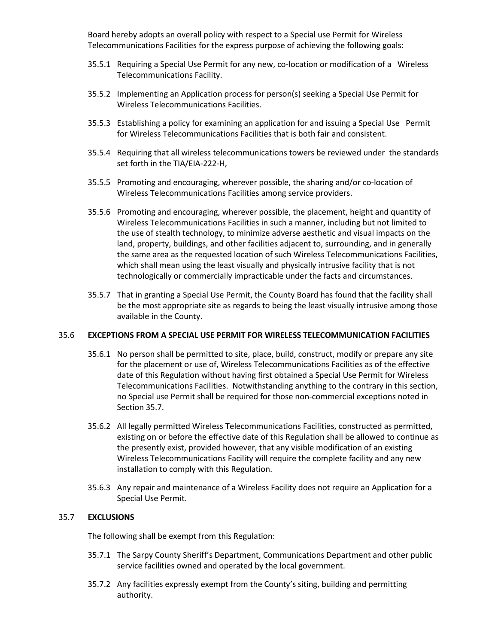Board hereby adopts an overall policy with respect to a Special use Permit for Wireless Telecommunications Facilities for the express purpose of achieving the following goals:

- 35.5.1 Requiring a Special Use Permit for any new, co-location or modification of a Wireless Telecommunications Facility.
- 35.5.2 Implementing an Application process for person(s) seeking a Special Use Permit for Wireless Telecommunications Facilities.
- 35.5.3 Establishing a policy for examining an application for and issuing a Special Use Permit for Wireless Telecommunications Facilities that is both fair and consistent.
- 35.5.4 Requiring that all wireless telecommunications towers be reviewed under the standards set forth in the TIA/EIA-222-H,
- 35.5.5 Promoting and encouraging, wherever possible, the sharing and/or co-location of Wireless Telecommunications Facilities among service providers.
- 35.5.6 Promoting and encouraging, wherever possible, the placement, height and quantity of Wireless Telecommunications Facilities in such a manner, including but not limited to the use of stealth technology, to minimize adverse aesthetic and visual impacts on the land, property, buildings, and other facilities adjacent to, surrounding, and in generally the same area as the requested location of such Wireless Telecommunications Facilities, which shall mean using the least visually and physically intrusive facility that is not technologically or commercially impracticable under the facts and circumstances.
- 35.5.7 That in granting a Special Use Permit, the County Board has found that the facility shall be the most appropriate site as regards to being the least visually intrusive among those available in the County.

### 35.6 **EXCEPTIONS FROM A SPECIAL USE PERMIT FOR WIRELESS TELECOMMUNICATION FACILITIES**

- 35.6.1 No person shall be permitted to site, place, build, construct, modify or prepare any site for the placement or use of, Wireless Telecommunications Facilities as of the effective date of this Regulation without having first obtained a Special Use Permit for Wireless Telecommunications Facilities. Notwithstanding anything to the contrary in this section, no Special use Permit shall be required for those non-commercial exceptions noted in Section 35.7.
- 35.6.2 All legally permitted Wireless Telecommunications Facilities, constructed as permitted, existing on or before the effective date of this Regulation shall be allowed to continue as the presently exist, provided however, that any visible modification of an existing Wireless Telecommunications Facility will require the complete facility and any new installation to comply with this Regulation.
- 35.6.3 Any repair and maintenance of a Wireless Facility does not require an Application for a Special Use Permit.

# 35.7 **EXCLUSIONS**

The following shall be exempt from this Regulation:

- 35.7.1 The Sarpy County Sheriff's Department, Communications Department and other public service facilities owned and operated by the local government.
- 35.7.2 Any facilities expressly exempt from the County's siting, building and permitting authority.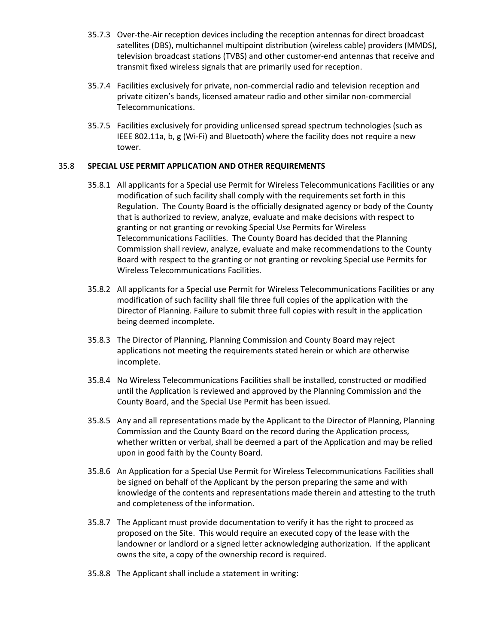- 35.7.3 Over-the-Air reception devices including the reception antennas for direct broadcast satellites (DBS), multichannel multipoint distribution (wireless cable) providers (MMDS), television broadcast stations (TVBS) and other customer-end antennas that receive and transmit fixed wireless signals that are primarily used for reception.
- 35.7.4 Facilities exclusively for private, non-commercial radio and television reception and private citizen's bands, licensed amateur radio and other similar non-commercial Telecommunications.
- 35.7.5 Facilities exclusively for providing unlicensed spread spectrum technologies (such as IEEE 802.11a, b, g (Wi-Fi) and Bluetooth) where the facility does not require a new tower.

# 35.8 **SPECIAL USE PERMIT APPLICATION AND OTHER REQUIREMENTS**

- 35.8.1 All applicants for a Special use Permit for Wireless Telecommunications Facilities or any modification of such facility shall comply with the requirements set forth in this Regulation. The County Board is the officially designated agency or body of the County that is authorized to review, analyze, evaluate and make decisions with respect to granting or not granting or revoking Special Use Permits for Wireless Telecommunications Facilities. The County Board has decided that the Planning Commission shall review, analyze, evaluate and make recommendations to the County Board with respect to the granting or not granting or revoking Special use Permits for Wireless Telecommunications Facilities.
- 35.8.2 All applicants for a Special use Permit for Wireless Telecommunications Facilities or any modification of such facility shall file three full copies of the application with the Director of Planning. Failure to submit three full copies with result in the application being deemed incomplete.
- 35.8.3 The Director of Planning, Planning Commission and County Board may reject applications not meeting the requirements stated herein or which are otherwise incomplete.
- 35.8.4 No Wireless Telecommunications Facilities shall be installed, constructed or modified until the Application is reviewed and approved by the Planning Commission and the County Board, and the Special Use Permit has been issued.
- 35.8.5 Any and all representations made by the Applicant to the Director of Planning, Planning Commission and the County Board on the record during the Application process, whether written or verbal, shall be deemed a part of the Application and may be relied upon in good faith by the County Board.
- 35.8.6 An Application for a Special Use Permit for Wireless Telecommunications Facilities shall be signed on behalf of the Applicant by the person preparing the same and with knowledge of the contents and representations made therein and attesting to the truth and completeness of the information.
- 35.8.7 The Applicant must provide documentation to verify it has the right to proceed as proposed on the Site. This would require an executed copy of the lease with the landowner or landlord or a signed letter acknowledging authorization. If the applicant owns the site, a copy of the ownership record is required.
- 35.8.8 The Applicant shall include a statement in writing: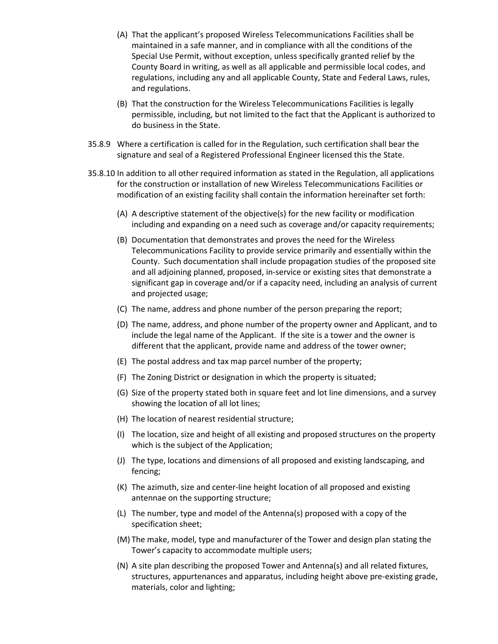- (A) That the applicant's proposed Wireless Telecommunications Facilities shall be maintained in a safe manner, and in compliance with all the conditions of the Special Use Permit, without exception, unless specifically granted relief by the County Board in writing, as well as all applicable and permissible local codes, and regulations, including any and all applicable County, State and Federal Laws, rules, and regulations.
- (B) That the construction for the Wireless Telecommunications Facilities is legally permissible, including, but not limited to the fact that the Applicant is authorized to do business in the State.
- 35.8.9 Where a certification is called for in the Regulation, such certification shall bear the signature and seal of a Registered Professional Engineer licensed this the State.
- 35.8.10 In addition to all other required information as stated in the Regulation, all applications for the construction or installation of new Wireless Telecommunications Facilities or modification of an existing facility shall contain the information hereinafter set forth:
	- (A) A descriptive statement of the objective(s) for the new facility or modification including and expanding on a need such as coverage and/or capacity requirements;
	- (B) Documentation that demonstrates and proves the need for the Wireless Telecommunications Facility to provide service primarily and essentially within the County. Such documentation shall include propagation studies of the proposed site and all adjoining planned, proposed, in-service or existing sites that demonstrate a significant gap in coverage and/or if a capacity need, including an analysis of current and projected usage;
	- (C) The name, address and phone number of the person preparing the report;
	- (D) The name, address, and phone number of the property owner and Applicant, and to include the legal name of the Applicant. If the site is a tower and the owner is different that the applicant, provide name and address of the tower owner;
	- (E) The postal address and tax map parcel number of the property;
	- (F) The Zoning District or designation in which the property is situated;
	- (G) Size of the property stated both in square feet and lot line dimensions, and a survey showing the location of all lot lines;
	- (H) The location of nearest residential structure;
	- (I) The location, size and height of all existing and proposed structures on the property which is the subject of the Application;
	- (J) The type, locations and dimensions of all proposed and existing landscaping, and fencing;
	- (K) The azimuth, size and center-line height location of all proposed and existing antennae on the supporting structure;
	- (L) The number, type and model of the Antenna(s) proposed with a copy of the specification sheet;
	- (M) The make, model, type and manufacturer of the Tower and design plan stating the Tower's capacity to accommodate multiple users;
	- (N) A site plan describing the proposed Tower and Antenna(s) and all related fixtures, structures, appurtenances and apparatus, including height above pre-existing grade, materials, color and lighting;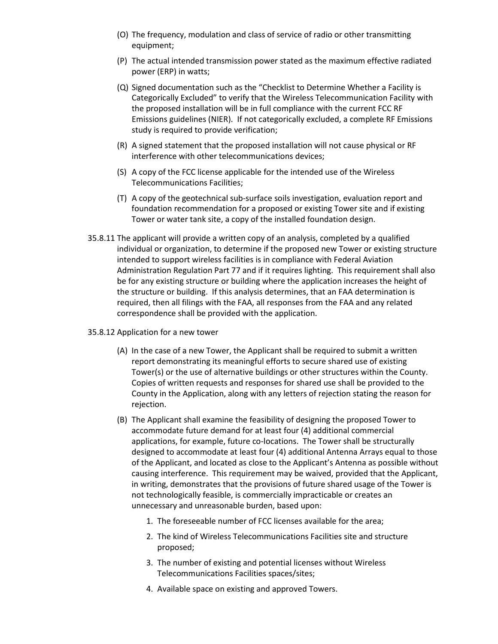- (O) The frequency, modulation and class of service of radio or other transmitting equipment;
- (P) The actual intended transmission power stated as the maximum effective radiated power (ERP) in watts;
- (Q) Signed documentation such as the "Checklist to Determine Whether a Facility is Categorically Excluded" to verify that the Wireless Telecommunication Facility with the proposed installation will be in full compliance with the current FCC RF Emissions guidelines (NIER). If not categorically excluded, a complete RF Emissions study is required to provide verification;
- (R) A signed statement that the proposed installation will not cause physical or RF interference with other telecommunications devices;
- (S) A copy of the FCC license applicable for the intended use of the Wireless Telecommunications Facilities;
- (T) A copy of the geotechnical sub-surface soils investigation, evaluation report and foundation recommendation for a proposed or existing Tower site and if existing Tower or water tank site, a copy of the installed foundation design.
- 35.8.11 The applicant will provide a written copy of an analysis, completed by a qualified individual or organization, to determine if the proposed new Tower or existing structure intended to support wireless facilities is in compliance with Federal Aviation Administration Regulation Part 77 and if it requires lighting. This requirement shall also be for any existing structure or building where the application increases the height of the structure or building. If this analysis determines, that an FAA determination is required, then all filings with the FAA, all responses from the FAA and any related correspondence shall be provided with the application.
- 35.8.12 Application for a new tower
	- (A) In the case of a new Tower, the Applicant shall be required to submit a written report demonstrating its meaningful efforts to secure shared use of existing Tower(s) or the use of alternative buildings or other structures within the County. Copies of written requests and responses for shared use shall be provided to the County in the Application, along with any letters of rejection stating the reason for rejection.
	- (B) The Applicant shall examine the feasibility of designing the proposed Tower to accommodate future demand for at least four (4) additional commercial applications, for example, future co-locations. The Tower shall be structurally designed to accommodate at least four (4) additional Antenna Arrays equal to those of the Applicant, and located as close to the Applicant's Antenna as possible without causing interference. This requirement may be waived, provided that the Applicant, in writing, demonstrates that the provisions of future shared usage of the Tower is not technologically feasible, is commercially impracticable or creates an unnecessary and unreasonable burden, based upon:
		- 1. The foreseeable number of FCC licenses available for the area;
		- 2. The kind of Wireless Telecommunications Facilities site and structure proposed;
		- 3. The number of existing and potential licenses without Wireless Telecommunications Facilities spaces/sites;
		- 4. Available space on existing and approved Towers.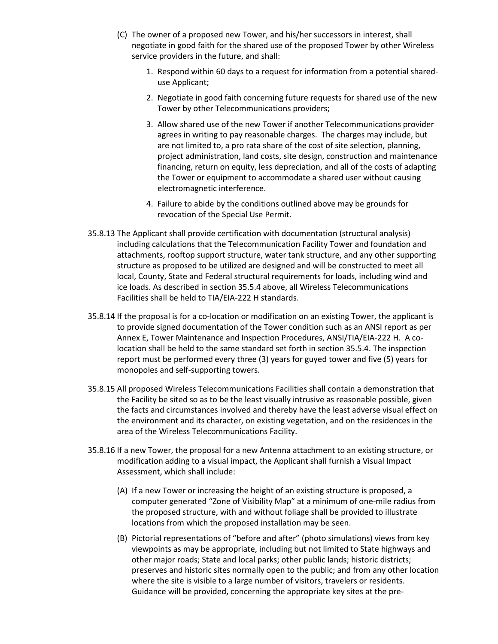- (C) The owner of a proposed new Tower, and his/her successors in interest, shall negotiate in good faith for the shared use of the proposed Tower by other Wireless service providers in the future, and shall:
	- 1. Respond within 60 days to a request for information from a potential shareduse Applicant;
	- 2. Negotiate in good faith concerning future requests for shared use of the new Tower by other Telecommunications providers;
	- 3. Allow shared use of the new Tower if another Telecommunications provider agrees in writing to pay reasonable charges. The charges may include, but are not limited to, a pro rata share of the cost of site selection, planning, project administration, land costs, site design, construction and maintenance financing, return on equity, less depreciation, and all of the costs of adapting the Tower or equipment to accommodate a shared user without causing electromagnetic interference.
	- 4. Failure to abide by the conditions outlined above may be grounds for revocation of the Special Use Permit.
- 35.8.13 The Applicant shall provide certification with documentation (structural analysis) including calculations that the Telecommunication Facility Tower and foundation and attachments, rooftop support structure, water tank structure, and any other supporting structure as proposed to be utilized are designed and will be constructed to meet all local, County, State and Federal structural requirements for loads, including wind and ice loads. As described in section 35.5.4 above, all Wireless Telecommunications Facilities shall be held to TIA/EIA-222 H standards.
- 35.8.14 If the proposal is for a co-location or modification on an existing Tower, the applicant is to provide signed documentation of the Tower condition such as an ANSI report as per Annex E, Tower Maintenance and Inspection Procedures, ANSI/TIA/EIA-222 H. A colocation shall be held to the same standard set forth in section 35.5.4. The inspection report must be performed every three (3) years for guyed tower and five (5) years for monopoles and self-supporting towers.
- 35.8.15 All proposed Wireless Telecommunications Facilities shall contain a demonstration that the Facility be sited so as to be the least visually intrusive as reasonable possible, given the facts and circumstances involved and thereby have the least adverse visual effect on the environment and its character, on existing vegetation, and on the residences in the area of the Wireless Telecommunications Facility.
- 35.8.16 If a new Tower, the proposal for a new Antenna attachment to an existing structure, or modification adding to a visual impact, the Applicant shall furnish a Visual Impact Assessment, which shall include:
	- (A) If a new Tower or increasing the height of an existing structure is proposed, a computer generated "Zone of Visibility Map" at a minimum of one-mile radius from the proposed structure, with and without foliage shall be provided to illustrate locations from which the proposed installation may be seen.
	- (B) Pictorial representations of "before and after" (photo simulations) views from key viewpoints as may be appropriate, including but not limited to State highways and other major roads; State and local parks; other public lands; historic districts; preserves and historic sites normally open to the public; and from any other location where the site is visible to a large number of visitors, travelers or residents. Guidance will be provided, concerning the appropriate key sites at the pre-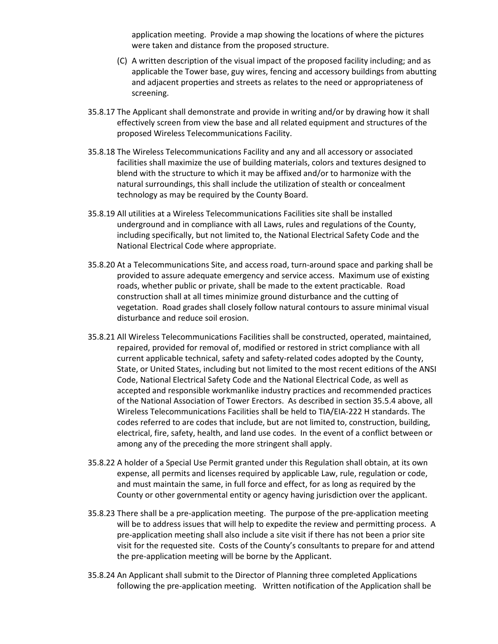application meeting. Provide a map showing the locations of where the pictures were taken and distance from the proposed structure.

- (C) A written description of the visual impact of the proposed facility including; and as applicable the Tower base, guy wires, fencing and accessory buildings from abutting and adjacent properties and streets as relates to the need or appropriateness of screening.
- 35.8.17 The Applicant shall demonstrate and provide in writing and/or by drawing how it shall effectively screen from view the base and all related equipment and structures of the proposed Wireless Telecommunications Facility.
- 35.8.18 The Wireless Telecommunications Facility and any and all accessory or associated facilities shall maximize the use of building materials, colors and textures designed to blend with the structure to which it may be affixed and/or to harmonize with the natural surroundings, this shall include the utilization of stealth or concealment technology as may be required by the County Board.
- 35.8.19 All utilities at a Wireless Telecommunications Facilities site shall be installed underground and in compliance with all Laws, rules and regulations of the County, including specifically, but not limited to, the National Electrical Safety Code and the National Electrical Code where appropriate.
- 35.8.20 At a Telecommunications Site, and access road, turn-around space and parking shall be provided to assure adequate emergency and service access. Maximum use of existing roads, whether public or private, shall be made to the extent practicable. Road construction shall at all times minimize ground disturbance and the cutting of vegetation. Road grades shall closely follow natural contours to assure minimal visual disturbance and reduce soil erosion.
- 35.8.21 All Wireless Telecommunications Facilities shall be constructed, operated, maintained, repaired, provided for removal of, modified or restored in strict compliance with all current applicable technical, safety and safety-related codes adopted by the County, State, or United States, including but not limited to the most recent editions of the ANSI Code, National Electrical Safety Code and the National Electrical Code, as well as accepted and responsible workmanlike industry practices and recommended practices of the National Association of Tower Erectors. As described in section 35.5.4 above, all Wireless Telecommunications Facilities shall be held to TIA/EIA-222 H standards. The codes referred to are codes that include, but are not limited to, construction, building, electrical, fire, safety, health, and land use codes. In the event of a conflict between or among any of the preceding the more stringent shall apply.
- 35.8.22 A holder of a Special Use Permit granted under this Regulation shall obtain, at its own expense, all permits and licenses required by applicable Law, rule, regulation or code, and must maintain the same, in full force and effect, for as long as required by the County or other governmental entity or agency having jurisdiction over the applicant.
- 35.8.23 There shall be a pre-application meeting. The purpose of the pre-application meeting will be to address issues that will help to expedite the review and permitting process. A pre-application meeting shall also include a site visit if there has not been a prior site visit for the requested site. Costs of the County's consultants to prepare for and attend the pre-application meeting will be borne by the Applicant.
- 35.8.24 An Applicant shall submit to the Director of Planning three completed Applications following the pre-application meeting. Written notification of the Application shall be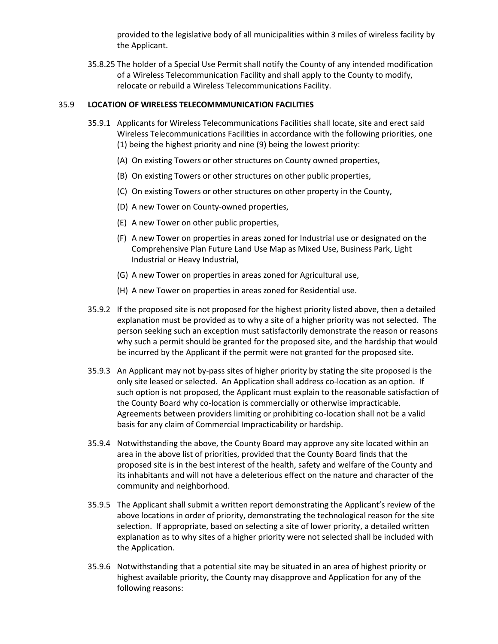provided to the legislative body of all municipalities within 3 miles of wireless facility by the Applicant.

35.8.25 The holder of a Special Use Permit shall notify the County of any intended modification of a Wireless Telecommunication Facility and shall apply to the County to modify, relocate or rebuild a Wireless Telecommunications Facility.

# 35.9 **LOCATION OF WIRELESS TELECOMMMUNICATION FACILITIES**

- 35.9.1 Applicants for Wireless Telecommunications Facilities shall locate, site and erect said Wireless Telecommunications Facilities in accordance with the following priorities, one (1) being the highest priority and nine (9) being the lowest priority:
	- (A) On existing Towers or other structures on County owned properties,
	- (B) On existing Towers or other structures on other public properties,
	- (C) On existing Towers or other structures on other property in the County,
	- (D) A new Tower on County-owned properties,
	- (E) A new Tower on other public properties,
	- (F) A new Tower on properties in areas zoned for Industrial use or designated on the Comprehensive Plan Future Land Use Map as Mixed Use, Business Park, Light Industrial or Heavy Industrial,
	- (G) A new Tower on properties in areas zoned for Agricultural use,
	- (H) A new Tower on properties in areas zoned for Residential use.
- 35.9.2 If the proposed site is not proposed for the highest priority listed above, then a detailed explanation must be provided as to why a site of a higher priority was not selected. The person seeking such an exception must satisfactorily demonstrate the reason or reasons why such a permit should be granted for the proposed site, and the hardship that would be incurred by the Applicant if the permit were not granted for the proposed site.
- 35.9.3 An Applicant may not by-pass sites of higher priority by stating the site proposed is the only site leased or selected. An Application shall address co-location as an option. If such option is not proposed, the Applicant must explain to the reasonable satisfaction of the County Board why co-location is commercially or otherwise impracticable. Agreements between providers limiting or prohibiting co-location shall not be a valid basis for any claim of Commercial Impracticability or hardship.
- 35.9.4 Notwithstanding the above, the County Board may approve any site located within an area in the above list of priorities, provided that the County Board finds that the proposed site is in the best interest of the health, safety and welfare of the County and its inhabitants and will not have a deleterious effect on the nature and character of the community and neighborhood.
- 35.9.5 The Applicant shall submit a written report demonstrating the Applicant's review of the above locations in order of priority, demonstrating the technological reason for the site selection. If appropriate, based on selecting a site of lower priority, a detailed written explanation as to why sites of a higher priority were not selected shall be included with the Application.
- 35.9.6 Notwithstanding that a potential site may be situated in an area of highest priority or highest available priority, the County may disapprove and Application for any of the following reasons: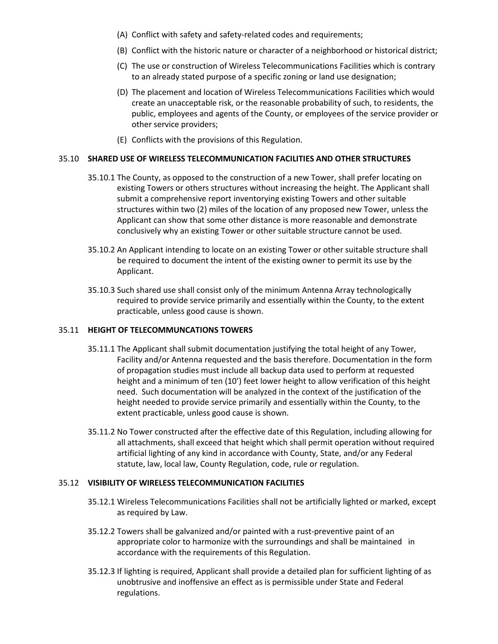- (A) Conflict with safety and safety-related codes and requirements;
- (B) Conflict with the historic nature or character of a neighborhood or historical district;
- (C) The use or construction of Wireless Telecommunications Facilities which is contrary to an already stated purpose of a specific zoning or land use designation;
- (D) The placement and location of Wireless Telecommunications Facilities which would create an unacceptable risk, or the reasonable probability of such, to residents, the public, employees and agents of the County, or employees of the service provider or other service providers;
- (E) Conflicts with the provisions of this Regulation.

## 35.10 **SHARED USE OF WIRELESS TELECOMMUNICATION FACILITIES AND OTHER STRUCTURES**

- 35.10.1 The County, as opposed to the construction of a new Tower, shall prefer locating on existing Towers or others structures without increasing the height. The Applicant shall submit a comprehensive report inventorying existing Towers and other suitable structures within two (2) miles of the location of any proposed new Tower, unless the Applicant can show that some other distance is more reasonable and demonstrate conclusively why an existing Tower or other suitable structure cannot be used.
- 35.10.2 An Applicant intending to locate on an existing Tower or other suitable structure shall be required to document the intent of the existing owner to permit its use by the Applicant.
- 35.10.3 Such shared use shall consist only of the minimum Antenna Array technologically required to provide service primarily and essentially within the County, to the extent practicable, unless good cause is shown.

### 35.11 **HEIGHT OF TELECOMMUNCATIONS TOWERS**

- 35.11.1 The Applicant shall submit documentation justifying the total height of any Tower, Facility and/or Antenna requested and the basis therefore. Documentation in the form of propagation studies must include all backup data used to perform at requested height and a minimum of ten (10') feet lower height to allow verification of this height need. Such documentation will be analyzed in the context of the justification of the height needed to provide service primarily and essentially within the County, to the extent practicable, unless good cause is shown.
- 35.11.2 No Tower constructed after the effective date of this Regulation, including allowing for all attachments, shall exceed that height which shall permit operation without required artificial lighting of any kind in accordance with County, State, and/or any Federal statute, law, local law, County Regulation, code, rule or regulation.

### 35.12 **VISIBILITY OF WIRELESS TELECOMMUNICATION FACILITIES**

- 35.12.1 Wireless Telecommunications Facilities shall not be artificially lighted or marked, except as required by Law.
- 35.12.2 Towers shall be galvanized and/or painted with a rust-preventive paint of an appropriate color to harmonize with the surroundings and shall be maintained in accordance with the requirements of this Regulation.
- 35.12.3 If lighting is required, Applicant shall provide a detailed plan for sufficient lighting of as unobtrusive and inoffensive an effect as is permissible under State and Federal regulations.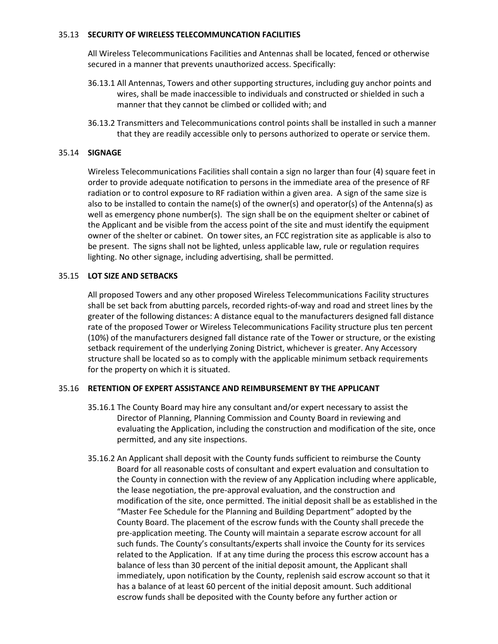## 35.13 **SECURITY OF WIRELESS TELECOMMUNCATION FACILITIES**

All Wireless Telecommunications Facilities and Antennas shall be located, fenced or otherwise secured in a manner that prevents unauthorized access. Specifically:

- 36.13.1 All Antennas, Towers and other supporting structures, including guy anchor points and wires, shall be made inaccessible to individuals and constructed or shielded in such a manner that they cannot be climbed or collided with; and
- 36.13.2 Transmitters and Telecommunications control points shall be installed in such a manner that they are readily accessible only to persons authorized to operate or service them.

# 35.14 **SIGNAGE**

Wireless Telecommunications Facilities shall contain a sign no larger than four (4) square feet in order to provide adequate notification to persons in the immediate area of the presence of RF radiation or to control exposure to RF radiation within a given area. A sign of the same size is also to be installed to contain the name(s) of the owner(s) and operator(s) of the Antenna(s) as well as emergency phone number(s). The sign shall be on the equipment shelter or cabinet of the Applicant and be visible from the access point of the site and must identify the equipment owner of the shelter or cabinet. On tower sites, an FCC registration site as applicable is also to be present. The signs shall not be lighted, unless applicable law, rule or regulation requires lighting. No other signage, including advertising, shall be permitted.

## 35.15 **LOT SIZE AND SETBACKS**

All proposed Towers and any other proposed Wireless Telecommunications Facility structures shall be set back from abutting parcels, recorded rights-of-way and road and street lines by the greater of the following distances: A distance equal to the manufacturers designed fall distance rate of the proposed Tower or Wireless Telecommunications Facility structure plus ten percent (10%) of the manufacturers designed fall distance rate of the Tower or structure, or the existing setback requirement of the underlying Zoning District, whichever is greater. Any Accessory structure shall be located so as to comply with the applicable minimum setback requirements for the property on which it is situated.

# 35.16 **RETENTION OF EXPERT ASSISTANCE AND REIMBURSEMENT BY THE APPLICANT**

- 35.16.1 The County Board may hire any consultant and/or expert necessary to assist the Director of Planning, Planning Commission and County Board in reviewing and evaluating the Application, including the construction and modification of the site, once permitted, and any site inspections.
- 35.16.2 An Applicant shall deposit with the County funds sufficient to reimburse the County Board for all reasonable costs of consultant and expert evaluation and consultation to the County in connection with the review of any Application including where applicable, the lease negotiation, the pre-approval evaluation, and the construction and modification of the site, once permitted. The initial deposit shall be as established in the "Master Fee Schedule for the Planning and Building Department" adopted by the County Board. The placement of the escrow funds with the County shall precede the pre-application meeting. The County will maintain a separate escrow account for all such funds. The County's consultants/experts shall invoice the County for its services related to the Application. If at any time during the process this escrow account has a balance of less than 30 percent of the initial deposit amount, the Applicant shall immediately, upon notification by the County, replenish said escrow account so that it has a balance of at least 60 percent of the initial deposit amount. Such additional escrow funds shall be deposited with the County before any further action or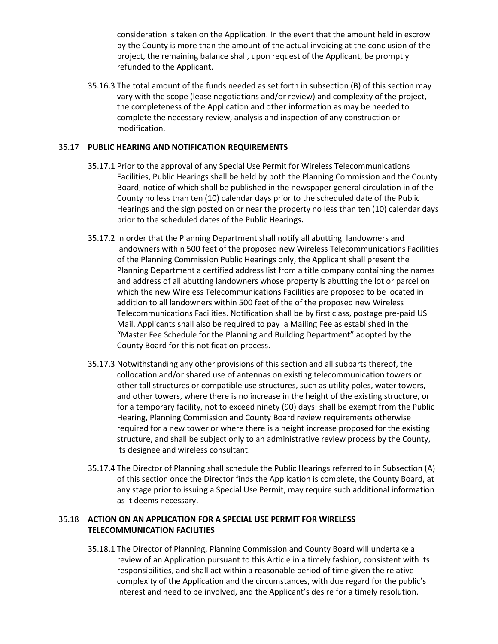consideration is taken on the Application. In the event that the amount held in escrow by the County is more than the amount of the actual invoicing at the conclusion of the project, the remaining balance shall, upon request of the Applicant, be promptly refunded to the Applicant.

35.16.3 The total amount of the funds needed as set forth in subsection (B) of this section may vary with the scope (lease negotiations and/or review) and complexity of the project, the completeness of the Application and other information as may be needed to complete the necessary review, analysis and inspection of any construction or modification.

# 35.17 **PUBLIC HEARING AND NOTIFICATION REQUIREMENTS**

- 35.17.1 Prior to the approval of any Special Use Permit for Wireless Telecommunications Facilities, Public Hearings shall be held by both the Planning Commission and the County Board, notice of which shall be published in the newspaper general circulation in of the County no less than ten (10) calendar days prior to the scheduled date of the Public Hearings and the sign posted on or near the property no less than ten (10) calendar days prior to the scheduled dates of the Public Hearings**.**
- 35.17.2 In order that the Planning Department shall notify all abutting landowners and landowners within 500 feet of the proposed new Wireless Telecommunications Facilities of the Planning Commission Public Hearings only, the Applicant shall present the Planning Department a certified address list from a title company containing the names and address of all abutting landowners whose property is abutting the lot or parcel on which the new Wireless Telecommunications Facilities are proposed to be located in addition to all landowners within 500 feet of the of the proposed new Wireless Telecommunications Facilities. Notification shall be by first class, postage pre-paid US Mail. Applicants shall also be required to pay a Mailing Fee as established in the "Master Fee Schedule for the Planning and Building Department" adopted by the County Board for this notification process.
- 35.17.3 Notwithstanding any other provisions of this section and all subparts thereof, the collocation and/or shared use of antennas on existing telecommunication towers or other tall structures or compatible use structures, such as utility poles, water towers, and other towers, where there is no increase in the height of the existing structure, or for a temporary facility, not to exceed ninety (90) days: shall be exempt from the Public Hearing, Planning Commission and County Board review requirements otherwise required for a new tower or where there is a height increase proposed for the existing structure, and shall be subject only to an administrative review process by the County, its designee and wireless consultant.
- 35.17.4 The Director of Planning shall schedule the Public Hearings referred to in Subsection (A) of this section once the Director finds the Application is complete, the County Board, at any stage prior to issuing a Special Use Permit, may require such additional information as it deems necessary.

# 35.18 **ACTION ON AN APPLICATION FOR A SPECIAL USE PERMIT FOR WIRELESS TELECOMMUNICATION FACILITIES**

35.18.1 The Director of Planning, Planning Commission and County Board will undertake a review of an Application pursuant to this Article in a timely fashion, consistent with its responsibilities, and shall act within a reasonable period of time given the relative complexity of the Application and the circumstances, with due regard for the public's interest and need to be involved, and the Applicant's desire for a timely resolution.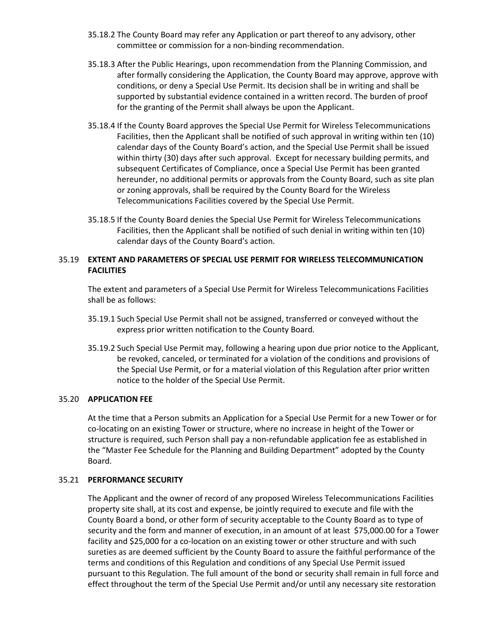- 35.18.2 The County Board may refer any Application or part thereof to any advisory, other committee or commission for a non-binding recommendation.
- 35.18.3 After the Public Hearings, upon recommendation from the Planning Commission, and after formally considering the Application, the County Board may approve, approve with conditions, or deny a Special Use Permit. Its decision shall be in writing and shall be supported by substantial evidence contained in a written record. The burden of proof for the granting of the Permit shall always be upon the Applicant.
- 35.18.4 If the County Board approves the Special Use Permit for Wireless Telecommunications Facilities, then the Applicant shall be notified of such approval in writing within ten (10) calendar days of the County Board's action, and the Special Use Permit shall be issued within thirty (30) days after such approval. Except for necessary building permits, and subsequent Certificates of Compliance, once a Special Use Permit has been granted hereunder, no additional permits or approvals from the County Board, such as site plan or zoning approvals, shall be required by the County Board for the Wireless Telecommunications Facilities covered by the Special Use Permit.
- 35.18.5 If the County Board denies the Special Use Permit for Wireless Telecommunications Facilities, then the Applicant shall be notified of such denial in writing within ten (10) calendar days of the County Board's action.

# 35.19 **EXTENT AND PARAMETERS OF SPECIAL USE PERMIT FOR WIRELESS TELECOMMUNICATION FACILITIES**

The extent and parameters of a Special Use Permit for Wireless Telecommunications Facilities shall be as follows:

- 35.19.1 Such Special Use Permit shall not be assigned, transferred or conveyed without the express prior written notification to the County Board.
- 35.19.2 Such Special Use Permit may, following a hearing upon due prior notice to the Applicant, be revoked, canceled, or terminated for a violation of the conditions and provisions of the Special Use Permit, or for a material violation of this Regulation after prior written notice to the holder of the Special Use Permit.

## 35.20 **APPLICATION FEE**

At the time that a Person submits an Application for a Special Use Permit for a new Tower or for co-locating on an existing Tower or structure, where no increase in height of the Tower or structure is required, such Person shall pay a non-refundable application fee as established in the "Master Fee Schedule for the Planning and Building Department" adopted by the County Board.

## 35.21 **PERFORMANCE SECURITY**

The Applicant and the owner of record of any proposed Wireless Telecommunications Facilities property site shall, at its cost and expense, be jointly required to execute and file with the County Board a bond, or other form of security acceptable to the County Board as to type of security and the form and manner of execution, in an amount of at least \$75,000.00 for a Tower facility and \$25,000 for a co-location on an existing tower or other structure and with such sureties as are deemed sufficient by the County Board to assure the faithful performance of the terms and conditions of this Regulation and conditions of any Special Use Permit issued pursuant to this Regulation. The full amount of the bond or security shall remain in full force and effect throughout the term of the Special Use Permit and/or until any necessary site restoration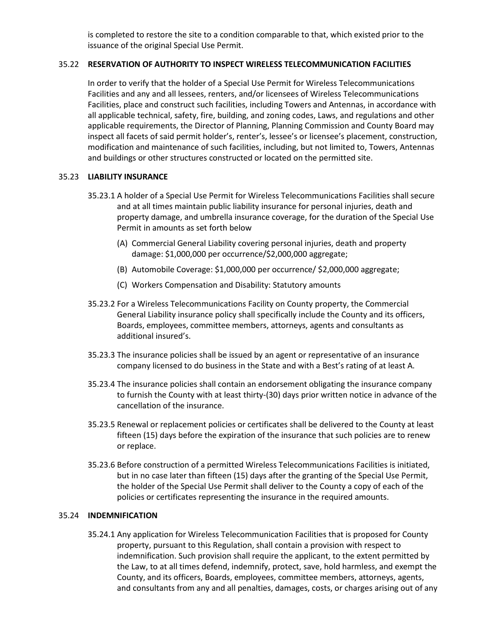is completed to restore the site to a condition comparable to that, which existed prior to the issuance of the original Special Use Permit.

## 35.22 **RESERVATION OF AUTHORITY TO INSPECT WIRELESS TELECOMMUNICATION FACILITIES**

In order to verify that the holder of a Special Use Permit for Wireless Telecommunications Facilities and any and all lessees, renters, and/or licensees of Wireless Telecommunications Facilities, place and construct such facilities, including Towers and Antennas, in accordance with all applicable technical, safety, fire, building, and zoning codes, Laws, and regulations and other applicable requirements, the Director of Planning, Planning Commission and County Board may inspect all facets of said permit holder's, renter's, lessee's or licensee's placement, construction, modification and maintenance of such facilities, including, but not limited to, Towers, Antennas and buildings or other structures constructed or located on the permitted site.

## 35.23 **LIABILITY INSURANCE**

- 35.23.1 A holder of a Special Use Permit for Wireless Telecommunications Facilities shall secure and at all times maintain public liability insurance for personal injuries, death and property damage, and umbrella insurance coverage, for the duration of the Special Use Permit in amounts as set forth below
	- (A) Commercial General Liability covering personal injuries, death and property damage: \$1,000,000 per occurrence/\$2,000,000 aggregate;
	- (B) Automobile Coverage: \$1,000,000 per occurrence/ \$2,000,000 aggregate;
	- (C) Workers Compensation and Disability: Statutory amounts
- 35.23.2 For a Wireless Telecommunications Facility on County property, the Commercial General Liability insurance policy shall specifically include the County and its officers, Boards, employees, committee members, attorneys, agents and consultants as additional insured's.
- 35.23.3 The insurance policies shall be issued by an agent or representative of an insurance company licensed to do business in the State and with a Best's rating of at least A.
- 35.23.4 The insurance policies shall contain an endorsement obligating the insurance company to furnish the County with at least thirty-(30) days prior written notice in advance of the cancellation of the insurance.
- 35.23.5 Renewal or replacement policies or certificates shall be delivered to the County at least fifteen (15) days before the expiration of the insurance that such policies are to renew or replace.
- 35.23.6 Before construction of a permitted Wireless Telecommunications Facilities is initiated, but in no case later than fifteen (15) days after the granting of the Special Use Permit, the holder of the Special Use Permit shall deliver to the County a copy of each of the policies or certificates representing the insurance in the required amounts.

### 35.24 **INDEMNIFICATION**

35.24.1 Any application for Wireless Telecommunication Facilities that is proposed for County property, pursuant to this Regulation, shall contain a provision with respect to indemnification. Such provision shall require the applicant, to the extent permitted by the Law, to at all times defend, indemnify, protect, save, hold harmless, and exempt the County, and its officers, Boards, employees, committee members, attorneys, agents, and consultants from any and all penalties, damages, costs, or charges arising out of any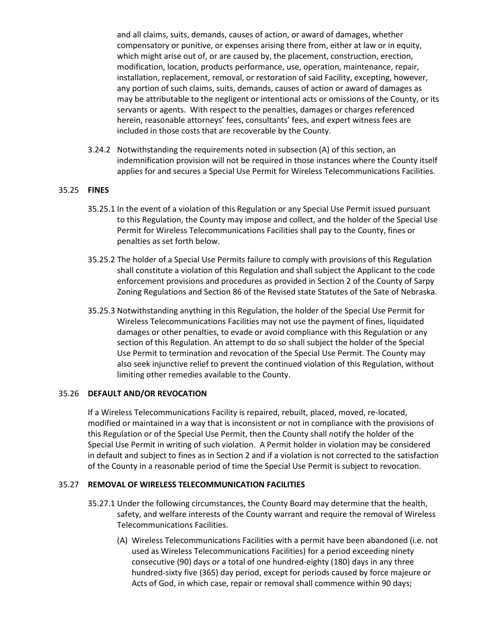and all claims, suits, demands, causes of action, or award of damages, whether compensatory or punitive, or expenses arising there from, either at law or in equity, which might arise out of, or are caused by, the placement, construction, erection, modification, location, products performance, use, operation, maintenance, repair, installation, replacement, removal, or restoration of said Facility, excepting, however, any portion of such claims, suits, demands, causes of action or award of damages as may be attributable to the negligent or intentional acts or omissions of the County, or its servants or agents. With respect to the penalties, damages or charges referenced herein, reasonable attorneys' fees, consultants' fees, and expert witness fees are included in those costs that are recoverable by the County.

3.24.2 Notwithstanding the requirements noted in subsection (A) of this section, an indemnification provision will not be required in those instances where the County itself applies for and secures a Special Use Permit for Wireless Telecommunications Facilities.

# 35.25 **FINES**

- 35.25.1 In the event of a violation of this Regulation or any Special Use Permit issued pursuant to this Regulation, the County may impose and collect, and the holder of the Special Use Permit for Wireless Telecommunications Facilities shall pay to the County, fines or penalties as set forth below.
- 35.25.2 The holder of a Special Use Permits failure to comply with provisions of this Regulation shall constitute a violation of this Regulation and shall subject the Applicant to the code enforcement provisions and procedures as provided in Section 2 of the County of Sarpy Zoning Regulations and Section 86 of the Revised state Statutes of the Sate of Nebraska.
- 35.25.3 Notwithstanding anything in this Regulation, the holder of the Special Use Permit for Wireless Telecommunications Facilities may not use the payment of fines, liquidated damages or other penalties, to evade or avoid compliance with this Regulation or any section of this Regulation. An attempt to do so shall subject the holder of the Special Use Permit to termination and revocation of the Special Use Permit. The County may also seek injunctive relief to prevent the continued violation of this Regulation, without limiting other remedies available to the County.

# 35.26 **DEFAULT AND/OR REVOCATION**

If a Wireless Telecommunications Facility is repaired, rebuilt, placed, moved, re-located, modified or maintained in a way that is inconsistent or not in compliance with the provisions of this Regulation or of the Special Use Permit, then the County shall notify the holder of the Special Use Permit in writing of such violation. A Permit holder in violation may be considered in default and subject to fines as in Section 2 and if a violation is not corrected to the satisfaction of the County in a reasonable period of time the Special Use Permit is subject to revocation.

### 35.27 **REMOVAL OF WIRELESS TELECOMMUNICATION FACILITIES**

- 35.27.1 Under the following circumstances, the County Board may determine that the health, safety, and welfare interests of the County warrant and require the removal of Wireless Telecommunications Facilities.
	- (A) Wireless Telecommunications Facilities with a permit have been abandoned (i.e. not used as Wireless Telecommunications Facilities) for a period exceeding ninety consecutive (90) days or a total of one hundred-eighty (180) days in any three hundred-sixty five (365) day period, except for periods caused by force majeure or Acts of God, in which case, repair or removal shall commence within 90 days;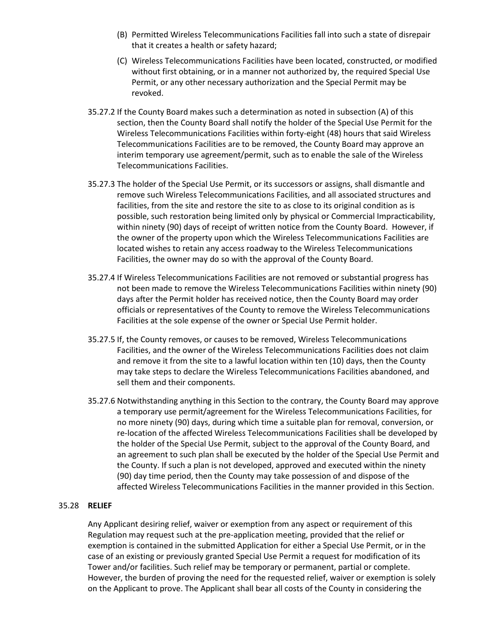- (B) Permitted Wireless Telecommunications Facilities fall into such a state of disrepair that it creates a health or safety hazard;
- (C) Wireless Telecommunications Facilities have been located, constructed, or modified without first obtaining, or in a manner not authorized by, the required Special Use Permit, or any other necessary authorization and the Special Permit may be revoked.
- 35.27.2 If the County Board makes such a determination as noted in subsection (A) of this section, then the County Board shall notify the holder of the Special Use Permit for the Wireless Telecommunications Facilities within forty-eight (48) hours that said Wireless Telecommunications Facilities are to be removed, the County Board may approve an interim temporary use agreement/permit, such as to enable the sale of the Wireless Telecommunications Facilities.
- 35.27.3 The holder of the Special Use Permit, or its successors or assigns, shall dismantle and remove such Wireless Telecommunications Facilities, and all associated structures and facilities, from the site and restore the site to as close to its original condition as is possible, such restoration being limited only by physical or Commercial Impracticability, within ninety (90) days of receipt of written notice from the County Board. However, if the owner of the property upon which the Wireless Telecommunications Facilities are located wishes to retain any access roadway to the Wireless Telecommunications Facilities, the owner may do so with the approval of the County Board.
- 35.27.4 If Wireless Telecommunications Facilities are not removed or substantial progress has not been made to remove the Wireless Telecommunications Facilities within ninety (90) days after the Permit holder has received notice, then the County Board may order officials or representatives of the County to remove the Wireless Telecommunications Facilities at the sole expense of the owner or Special Use Permit holder.
- 35.27.5 If, the County removes, or causes to be removed, Wireless Telecommunications Facilities, and the owner of the Wireless Telecommunications Facilities does not claim and remove it from the site to a lawful location within ten (10) days, then the County may take steps to declare the Wireless Telecommunications Facilities abandoned, and sell them and their components.
- 35.27.6 Notwithstanding anything in this Section to the contrary, the County Board may approve a temporary use permit/agreement for the Wireless Telecommunications Facilities, for no more ninety (90) days, during which time a suitable plan for removal, conversion, or re-location of the affected Wireless Telecommunications Facilities shall be developed by the holder of the Special Use Permit, subject to the approval of the County Board, and an agreement to such plan shall be executed by the holder of the Special Use Permit and the County. If such a plan is not developed, approved and executed within the ninety (90) day time period, then the County may take possession of and dispose of the affected Wireless Telecommunications Facilities in the manner provided in this Section.

# 35.28 **RELIEF**

Any Applicant desiring relief, waiver or exemption from any aspect or requirement of this Regulation may request such at the pre-application meeting, provided that the relief or exemption is contained in the submitted Application for either a Special Use Permit, or in the case of an existing or previously granted Special Use Permit a request for modification of its Tower and/or facilities. Such relief may be temporary or permanent, partial or complete. However, the burden of proving the need for the requested relief, waiver or exemption is solely on the Applicant to prove. The Applicant shall bear all costs of the County in considering the